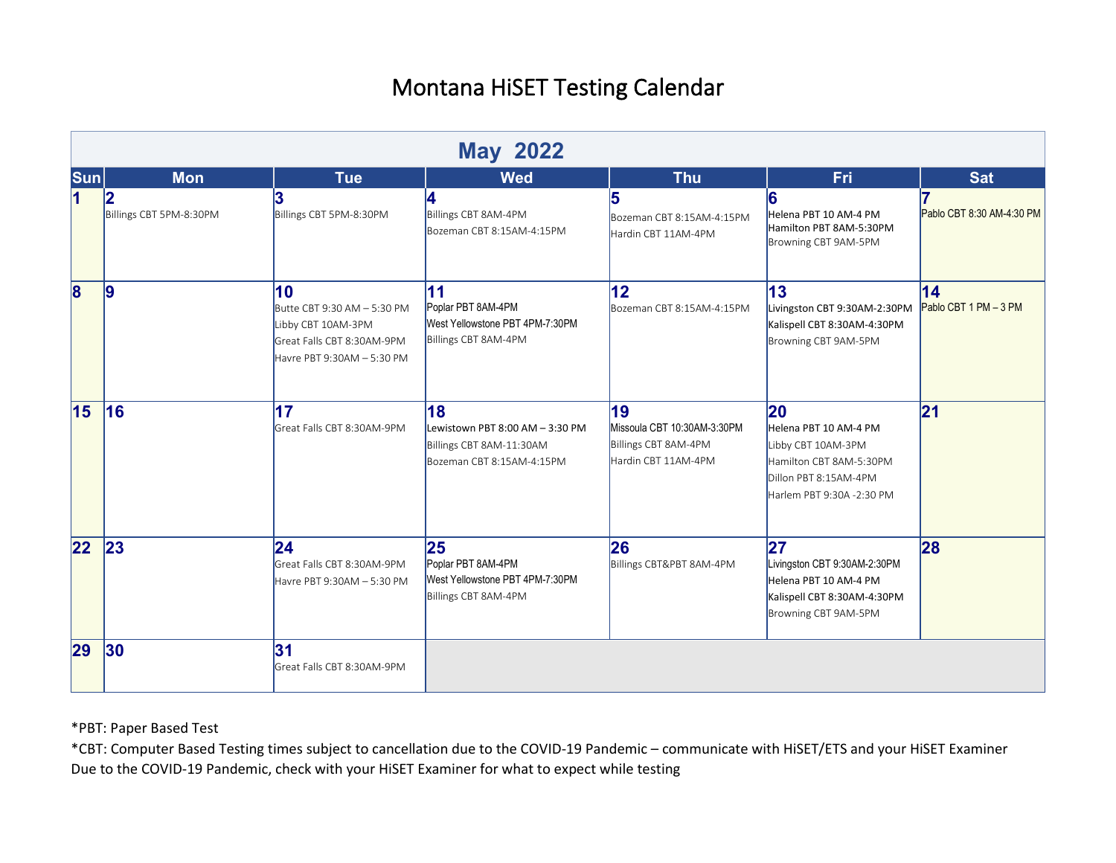|                         | <b>May 2022</b>         |                                                                                                                     |                                                                                                |                                                                                  |                                                                                                                                    |                                          |  |
|-------------------------|-------------------------|---------------------------------------------------------------------------------------------------------------------|------------------------------------------------------------------------------------------------|----------------------------------------------------------------------------------|------------------------------------------------------------------------------------------------------------------------------------|------------------------------------------|--|
| Sum                     | <b>Mon</b>              | <b>Tue</b>                                                                                                          | <b>Wed</b>                                                                                     | <b>Thu</b>                                                                       | Fri                                                                                                                                | <b>Sat</b>                               |  |
| $\overline{\mathbf{1}}$ | Billings CBT 5PM-8:30PM | 3<br>Billings CBT 5PM-8:30PM                                                                                        | Billings CBT 8AM-4PM<br>Bozeman CBT 8:15AM-4:15PM                                              | 15<br>Bozeman CBT 8:15AM-4:15PM<br>Hardin CBT 11AM-4PM                           | 6<br>Helena PBT 10 AM-4 PM<br>Hamilton PBT 8AM-5:30PM<br>Browning CBT 9AM-5PM                                                      | Pablo CBT 8:30 AM-4:30 PM                |  |
| $\overline{\mathbf{8}}$ | 9                       | 10<br>Butte CBT 9:30 AM - 5:30 PM<br>Libby CBT 10AM-3PM<br>Great Falls CBT 8:30AM-9PM<br>Havre PBT 9:30AM - 5:30 PM | 11<br>Poplar PBT 8AM-4PM<br>West Yellowstone PBT 4PM-7:30PM<br>Billings CBT 8AM-4PM            | $12 \overline{ }$<br>Bozeman CBT 8:15AM-4:15PM                                   | 13<br>Livingston CBT 9:30AM-2:30PM<br>Kalispell CBT 8:30AM-4:30PM<br>Browning CBT 9AM-5PM                                          | $\overline{14}$<br>Pablo CBT 1 PM - 3 PM |  |
| 15                      | <b>16</b>               | 17<br>Great Falls CBT 8:30AM-9PM                                                                                    | 18<br>Lewistown PBT 8:00 AM - 3:30 PM<br>Billings CBT 8AM-11:30AM<br>Bozeman CBT 8:15AM-4:15PM | 19<br>Missoula CBT 10:30AM-3:30PM<br>Billings CBT 8AM-4PM<br>Hardin CBT 11AM-4PM | 20<br>Helena PBT 10 AM-4 PM<br>Libby CBT 10AM-3PM<br>Hamilton CBT 8AM-5:30PM<br>Dillon PBT 8:15AM-4PM<br>Harlem PBT 9:30A -2:30 PM | 21                                       |  |
| $ 22\rangle$            | 23                      | $ 24\rangle$<br>Great Falls CBT 8:30AM-9PM<br>Havre PBT 9:30AM - 5:30 PM                                            | 25<br>Poplar PBT 8AM-4PM<br>West Yellowstone PBT 4PM-7:30PM<br>Billings CBT 8AM-4PM            | 26<br>Billings CBT&PBT 8AM-4PM                                                   | 27<br>Livingston CBT 9:30AM-2:30PM<br>Helena PBT 10 AM-4 PM<br>Kalispell CBT 8:30AM-4:30PM<br>Browning CBT 9AM-5PM                 | 28                                       |  |
| 29                      | 30                      | 31<br>Great Falls CBT 8:30AM-9PM                                                                                    |                                                                                                |                                                                                  |                                                                                                                                    |                                          |  |

\*PBT: Paper Based Test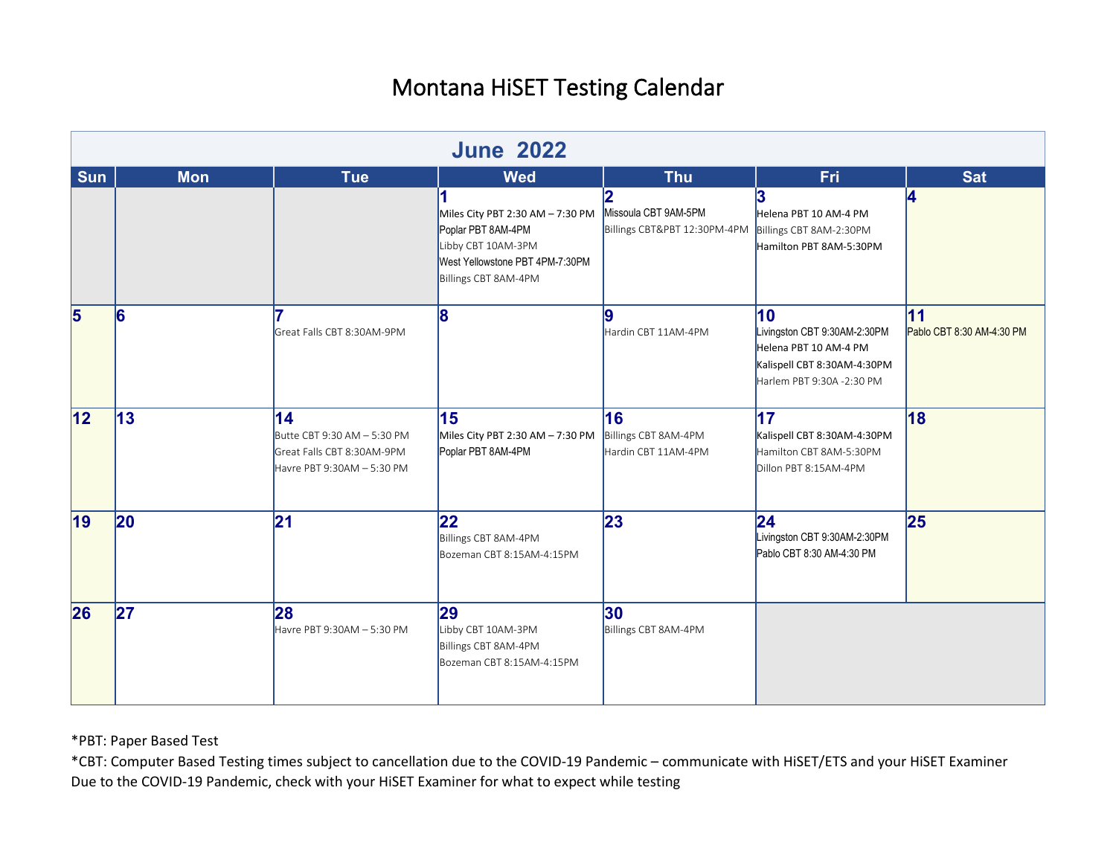|            | <b>June 2022</b> |                                                                                               |                                                                                                     |                                                   |                                                                                                                         |                                 |  |
|------------|------------------|-----------------------------------------------------------------------------------------------|-----------------------------------------------------------------------------------------------------|---------------------------------------------------|-------------------------------------------------------------------------------------------------------------------------|---------------------------------|--|
| <b>Sun</b> | <b>Mon</b>       | <b>Tue</b>                                                                                    | <b>Wed</b><br>Miles City PBT 2:30 AM - 7:30 PM                                                      | <b>Thu</b><br>2<br>Missoula CBT 9AM-5PM           | <b>Fri</b><br>3<br>Helena PBT 10 AM-4 PM                                                                                | <b>Sat</b><br>14                |  |
|            |                  |                                                                                               | Poplar PBT 8AM-4PM<br>Libby CBT 10AM-3PM<br>West Yellowstone PBT 4PM-7:30PM<br>Billings CBT 8AM-4PM | Billings CBT&PBT 12:30PM-4PM                      | Billings CBT 8AM-2:30PM<br>Hamilton PBT 8AM-5:30PM                                                                      |                                 |  |
| 5          | 6                | Great Falls CBT 8:30AM-9PM                                                                    | 8                                                                                                   | 19<br>Hardin CBT 11AM-4PM                         | 10<br>Livingston CBT 9:30AM-2:30PM<br>Helena PBT 10 AM-4 PM<br>Kalispell CBT 8:30AM-4:30PM<br>Harlem PBT 9:30A -2:30 PM | 11<br>Pablo CBT 8:30 AM-4:30 PM |  |
| 12         | 13               | 14<br>Butte CBT 9:30 AM - 5:30 PM<br>Great Falls CBT 8:30AM-9PM<br>Havre PBT 9:30AM - 5:30 PM | 15<br>Miles City PBT 2:30 AM - 7:30 PM<br>Poplar PBT 8AM-4PM                                        | 16<br>Billings CBT 8AM-4PM<br>Hardin CBT 11AM-4PM | 17<br>Kalispell CBT 8:30AM-4:30PM<br>Hamilton CBT 8AM-5:30PM<br>Dillon PBT 8:15AM-4PM                                   | 18                              |  |
| 19         | 20               | $\overline{21}$                                                                               | $ 22\rangle$<br>Billings CBT 8AM-4PM<br>Bozeman CBT 8:15AM-4:15PM                                   | 23                                                | 24<br>Livingston CBT 9:30AM-2:30PM<br>Pablo CBT 8:30 AM-4:30 PM                                                         | 25                              |  |
| 26         | 27               | 28<br>Havre PBT 9:30AM - 5:30 PM                                                              | 29<br>Libby CBT 10AM-3PM<br>Billings CBT 8AM-4PM<br>Bozeman CBT 8:15AM-4:15PM                       | $ 30\rangle$<br>Billings CBT 8AM-4PM              |                                                                                                                         |                                 |  |

\*PBT: Paper Based Test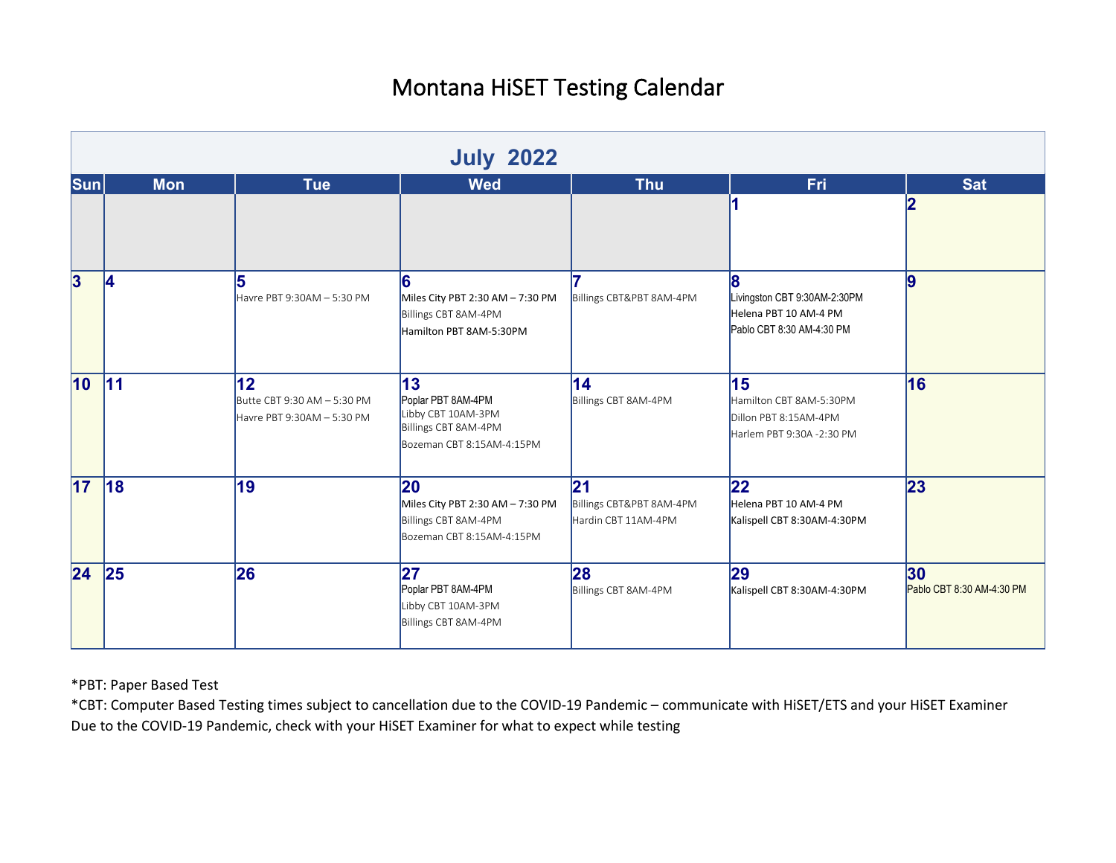|                  | <b>July 2022</b> |                                                                             |                                                                                                             |                                                       |                                                                                          |                                              |  |  |
|------------------|------------------|-----------------------------------------------------------------------------|-------------------------------------------------------------------------------------------------------------|-------------------------------------------------------|------------------------------------------------------------------------------------------|----------------------------------------------|--|--|
| $ \mathsf{Sun} $ | <b>Mon</b>       | <b>Tue</b>                                                                  | <b>Wed</b>                                                                                                  | <b>Thu</b>                                            | <b>Fri</b>                                                                               | <b>Sat</b>                                   |  |  |
|                  |                  |                                                                             |                                                                                                             |                                                       |                                                                                          | 12                                           |  |  |
| $\vert 3 \vert$  | 14               | 15<br>Havre PBT 9:30AM - 5:30 PM                                            | 16<br>Miles City PBT 2:30 AM - 7:30 PM<br>Billings CBT 8AM-4PM<br>Hamilton PBT 8AM-5:30PM                   | Billings CBT&PBT 8AM-4PM                              | 18<br>Livingston CBT 9:30AM-2:30PM<br>Helena PBT 10 AM-4 PM<br>Pablo CBT 8:30 AM-4:30 PM | 9                                            |  |  |
| 10 <sup>°</sup>  | 11               | $ 12\rangle$<br>Butte CBT 9:30 AM - 5:30 PM<br>Havre PBT 9:30AM $-$ 5:30 PM | $\vert$ 13<br>Poplar PBT 8AM-4PM<br>Libby CBT 10AM-3PM<br>Billings CBT 8AM-4PM<br>Bozeman CBT 8:15AM-4:15PM | 14 <br>Billings CBT 8AM-4PM                           | 15<br>Hamilton CBT 8AM-5:30PM<br>Dillon PBT 8:15AM-4PM<br>Harlem PBT 9:30A -2:30 PM      | 16                                           |  |  |
| 17               | 18               | 19                                                                          | <b>20</b><br>Miles City PBT 2:30 AM - 7:30 PM<br>Billings CBT 8AM-4PM<br>Bozeman CBT 8:15AM-4:15PM          | 21<br>Billings CBT&PBT 8AM-4PM<br>Hardin CBT 11AM-4PM | $ 22\rangle$<br>Helena PBT 10 AM-4 PM<br>Kalispell CBT 8:30AM-4:30PM                     | 23                                           |  |  |
| 24               | 25               | 26                                                                          | 27 <br>Poplar PBT 8AM-4PM<br>Libby CBT 10AM-3PM<br>Billings CBT 8AM-4PM                                     | 28<br>Billings CBT 8AM-4PM                            | 29<br>Kalispell CBT 8:30AM-4:30PM                                                        | 30 <sub>o</sub><br>Pablo CBT 8:30 AM-4:30 PM |  |  |

\*PBT: Paper Based Test